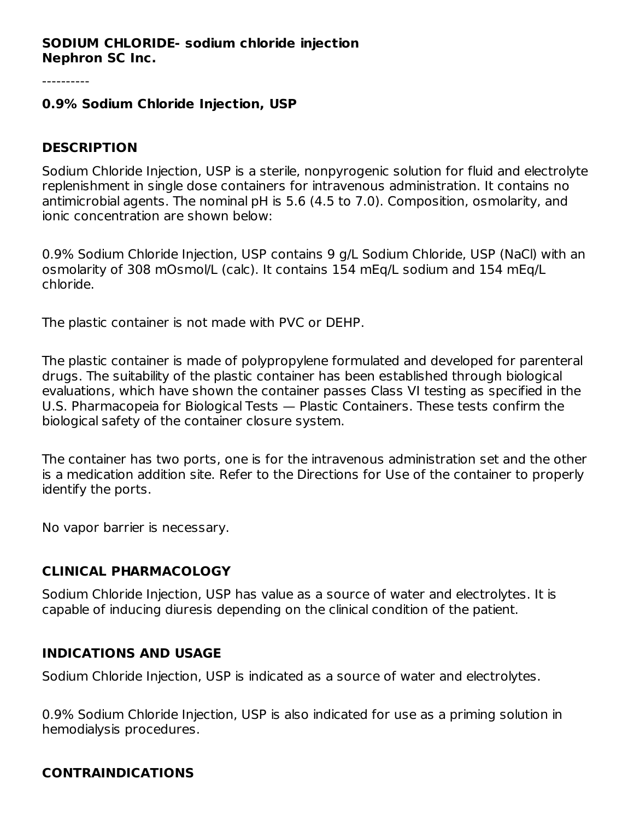#### **SODIUM CHLORIDE- sodium chloride injection Nephron SC Inc.**

#### **0.9% Sodium Chloride Injection, USP**

#### **DESCRIPTION**

Sodium Chloride Injection, USP is a sterile, nonpyrogenic solution for fluid and electrolyte replenishment in single dose containers for intravenous administration. It contains no antimicrobial agents. The nominal pH is 5.6 (4.5 to 7.0). Composition, osmolarity, and ionic concentration are shown below:

0.9% Sodium Chloride Injection, USP contains 9 g/L Sodium Chloride, USP (NaCl) with an osmolarity of 308 mOsmol/L (calc). It contains 154 mEq/L sodium and 154 mEq/L chloride.

The plastic container is not made with PVC or DEHP.

The plastic container is made of polypropylene formulated and developed for parenteral drugs. The suitability of the plastic container has been established through biological evaluations, which have shown the container passes Class VI testing as specified in the U.S. Pharmacopeia for Biological Tests — Plastic Containers. These tests confirm the biological safety of the container closure system.

The container has two ports, one is for the intravenous administration set and the other is a medication addition site. Refer to the Directions for Use of the container to properly identify the ports.

No vapor barrier is necessary.

#### **CLINICAL PHARMACOLOGY**

Sodium Chloride Injection, USP has value as a source of water and electrolytes. It is capable of inducing diuresis depending on the clinical condition of the patient.

#### **INDICATIONS AND USAGE**

Sodium Chloride Injection, USP is indicated as a source of water and electrolytes.

0.9% Sodium Chloride Injection, USP is also indicated for use as a priming solution in hemodialysis procedures.

### **CONTRAINDICATIONS**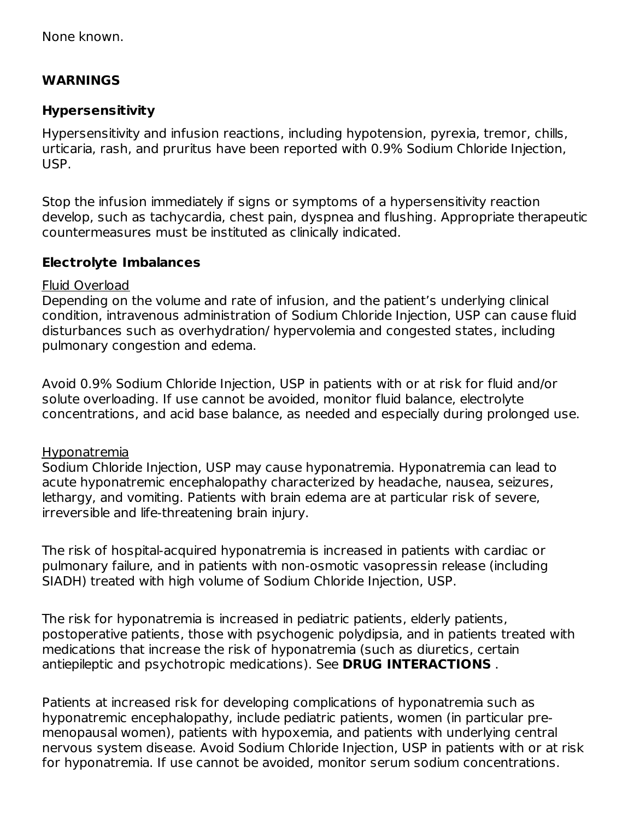None known.

#### **WARNINGS**

#### **Hypersensitivity**

Hypersensitivity and infusion reactions, including hypotension, pyrexia, tremor, chills, urticaria, rash, and pruritus have been reported with 0.9% Sodium Chloride Injection, USP.

Stop the infusion immediately if signs or symptoms of a hypersensitivity reaction develop, such as tachycardia, chest pain, dyspnea and flushing. Appropriate therapeutic countermeasures must be instituted as clinically indicated.

#### **Electrolyte Imbalances**

#### Fluid Overload

Depending on the volume and rate of infusion, and the patient's underlying clinical condition, intravenous administration of Sodium Chloride Injection, USP can cause fluid disturbances such as overhydration/ hypervolemia and congested states, including pulmonary congestion and edema.

Avoid 0.9% Sodium Chloride Injection, USP in patients with or at risk for fluid and/or solute overloading. If use cannot be avoided, monitor fluid balance, electrolyte concentrations, and acid base balance, as needed and especially during prolonged use.

#### Hyponatremia

Sodium Chloride Injection, USP may cause hyponatremia. Hyponatremia can lead to acute hyponatremic encephalopathy characterized by headache, nausea, seizures, lethargy, and vomiting. Patients with brain edema are at particular risk of severe, irreversible and life-threatening brain injury.

The risk of hospital-acquired hyponatremia is increased in patients with cardiac or pulmonary failure, and in patients with non-osmotic vasopressin release (including SIADH) treated with high volume of Sodium Chloride Injection, USP.

The risk for hyponatremia is increased in pediatric patients, elderly patients, postoperative patients, those with psychogenic polydipsia, and in patients treated with medications that increase the risk of hyponatremia (such as diuretics, certain antiepileptic and psychotropic medications). See **DRUG INTERACTIONS** .

Patients at increased risk for developing complications of hyponatremia such as hyponatremic encephalopathy, include pediatric patients, women (in particular premenopausal women), patients with hypoxemia, and patients with underlying central nervous system disease. Avoid Sodium Chloride Injection, USP in patients with or at risk for hyponatremia. If use cannot be avoided, monitor serum sodium concentrations.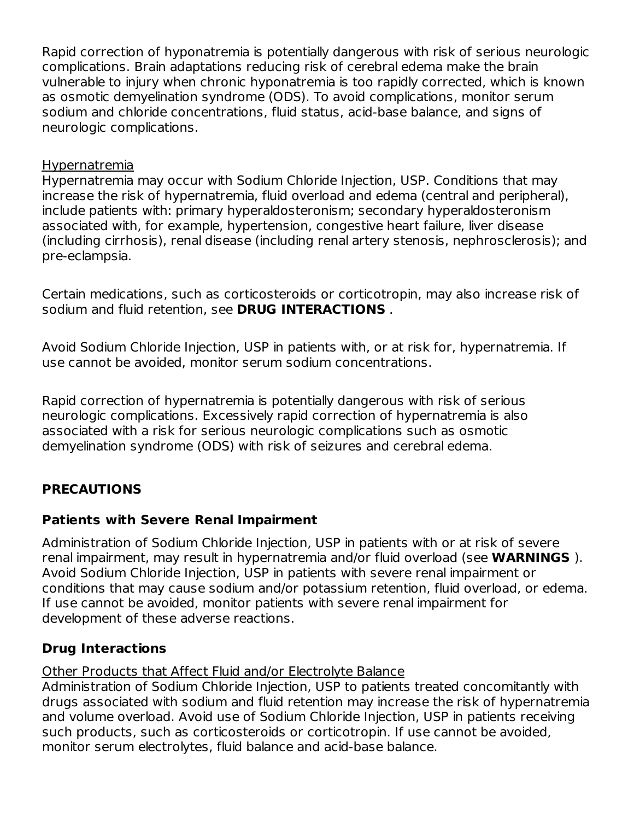Rapid correction of hyponatremia is potentially dangerous with risk of serious neurologic complications. Brain adaptations reducing risk of cerebral edema make the brain vulnerable to injury when chronic hyponatremia is too rapidly corrected, which is known as osmotic demyelination syndrome (ODS). To avoid complications, monitor serum sodium and chloride concentrations, fluid status, acid-base balance, and signs of neurologic complications.

#### Hypernatremia

Hypernatremia may occur with Sodium Chloride Injection, USP. Conditions that may increase the risk of hypernatremia, fluid overload and edema (central and peripheral), include patients with: primary hyperaldosteronism; secondary hyperaldosteronism associated with, for example, hypertension, congestive heart failure, liver disease (including cirrhosis), renal disease (including renal artery stenosis, nephrosclerosis); and pre-eclampsia.

Certain medications, such as corticosteroids or corticotropin, may also increase risk of sodium and fluid retention, see **DRUG INTERACTIONS** .

Avoid Sodium Chloride Injection, USP in patients with, or at risk for, hypernatremia. If use cannot be avoided, monitor serum sodium concentrations.

Rapid correction of hypernatremia is potentially dangerous with risk of serious neurologic complications. Excessively rapid correction of hypernatremia is also associated with a risk for serious neurologic complications such as osmotic demyelination syndrome (ODS) with risk of seizures and cerebral edema.

### **PRECAUTIONS**

#### **Patients with Severe Renal Impairment**

Administration of Sodium Chloride Injection, USP in patients with or at risk of severe renal impairment, may result in hypernatremia and/or fluid overload (see **WARNINGS** ). Avoid Sodium Chloride Injection, USP in patients with severe renal impairment or conditions that may cause sodium and/or potassium retention, fluid overload, or edema. If use cannot be avoided, monitor patients with severe renal impairment for development of these adverse reactions.

### **Drug Interactions**

Other Products that Affect Fluid and/or Electrolyte Balance

Administration of Sodium Chloride Injection, USP to patients treated concomitantly with drugs associated with sodium and fluid retention may increase the risk of hypernatremia and volume overload. Avoid use of Sodium Chloride Injection, USP in patients receiving such products, such as corticosteroids or corticotropin. If use cannot be avoided, monitor serum electrolytes, fluid balance and acid-base balance.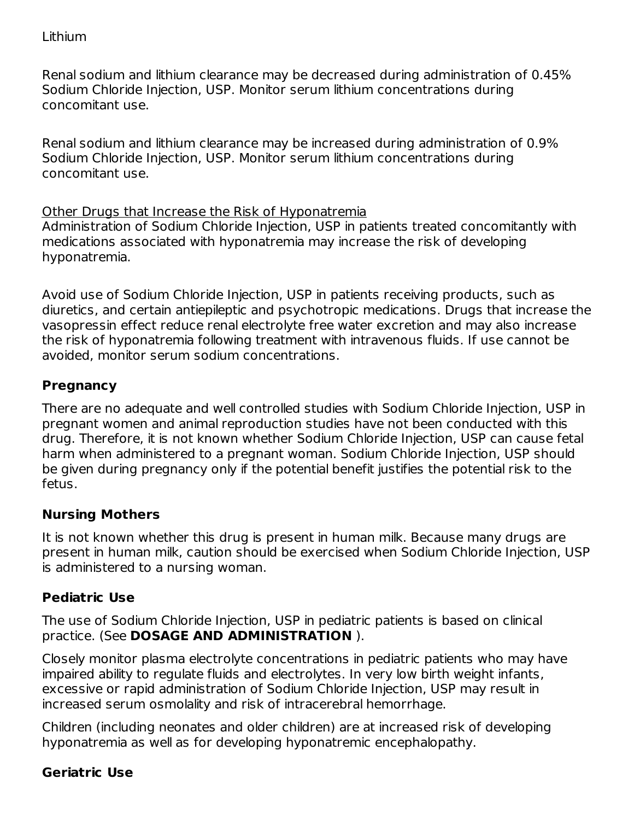Renal sodium and lithium clearance may be decreased during administration of 0.45% Sodium Chloride Injection, USP. Monitor serum lithium concentrations during concomitant use.

Renal sodium and lithium clearance may be increased during administration of 0.9% Sodium Chloride Injection, USP. Monitor serum lithium concentrations during concomitant use.

#### Other Drugs that Increase the Risk of Hyponatremia

Administration of Sodium Chloride Injection, USP in patients treated concomitantly with medications associated with hyponatremia may increase the risk of developing hyponatremia.

Avoid use of Sodium Chloride Injection, USP in patients receiving products, such as diuretics, and certain antiepileptic and psychotropic medications. Drugs that increase the vasopressin effect reduce renal electrolyte free water excretion and may also increase the risk of hyponatremia following treatment with intravenous fluids. If use cannot be avoided, monitor serum sodium concentrations.

### **Pregnancy**

There are no adequate and well controlled studies with Sodium Chloride Injection, USP in pregnant women and animal reproduction studies have not been conducted with this drug. Therefore, it is not known whether Sodium Chloride Injection, USP can cause fetal harm when administered to a pregnant woman. Sodium Chloride Injection, USP should be given during pregnancy only if the potential benefit justifies the potential risk to the fetus.

### **Nursing Mothers**

It is not known whether this drug is present in human milk. Because many drugs are present in human milk, caution should be exercised when Sodium Chloride Injection, USP is administered to a nursing woman.

### **Pediatric Use**

The use of Sodium Chloride Injection, USP in pediatric patients is based on clinical practice. (See **DOSAGE AND ADMINISTRATION** ).

Closely monitor plasma electrolyte concentrations in pediatric patients who may have impaired ability to regulate fluids and electrolytes. In very low birth weight infants, excessive or rapid administration of Sodium Chloride Injection, USP may result in increased serum osmolality and risk of intracerebral hemorrhage.

Children (including neonates and older children) are at increased risk of developing hyponatremia as well as for developing hyponatremic encephalopathy.

### **Geriatric Use**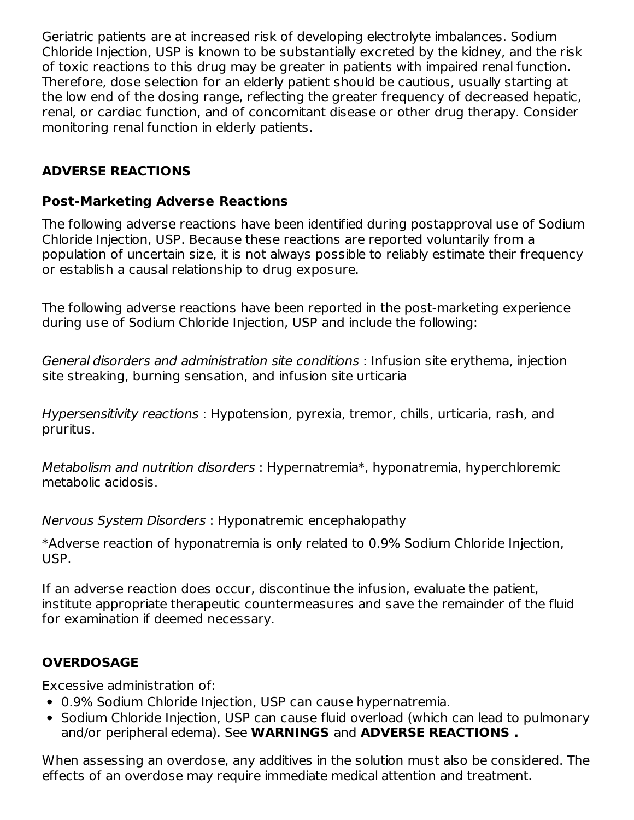Geriatric patients are at increased risk of developing electrolyte imbalances. Sodium Chloride Injection, USP is known to be substantially excreted by the kidney, and the risk of toxic reactions to this drug may be greater in patients with impaired renal function. Therefore, dose selection for an elderly patient should be cautious, usually starting at the low end of the dosing range, reflecting the greater frequency of decreased hepatic, renal, or cardiac function, and of concomitant disease or other drug therapy. Consider monitoring renal function in elderly patients.

### **ADVERSE REACTIONS**

#### **Post-Marketing Adverse Reactions**

The following adverse reactions have been identified during postapproval use of Sodium Chloride Injection, USP. Because these reactions are reported voluntarily from a population of uncertain size, it is not always possible to reliably estimate their frequency or establish a causal relationship to drug exposure.

The following adverse reactions have been reported in the post-marketing experience during use of Sodium Chloride Injection, USP and include the following:

General disorders and administration site conditions : Infusion site erythema, injection site streaking, burning sensation, and infusion site urticaria

Hypersensitivity reactions : Hypotension, pyrexia, tremor, chills, urticaria, rash, and pruritus.

Metabolism and nutrition disorders : Hypernatremia\*, hyponatremia, hyperchloremic metabolic acidosis.

Nervous System Disorders : Hyponatremic encephalopathy

\*Adverse reaction of hyponatremia is only related to 0.9% Sodium Chloride Injection, USP.

If an adverse reaction does occur, discontinue the infusion, evaluate the patient, institute appropriate therapeutic countermeasures and save the remainder of the fluid for examination if deemed necessary.

### **OVERDOSAGE**

Excessive administration of:

- 0.9% Sodium Chloride Injection, USP can cause hypernatremia.
- Sodium Chloride Injection, USP can cause fluid overload (which can lead to pulmonary and/or peripheral edema). See **WARNINGS** and **ADVERSE REACTIONS .**

When assessing an overdose, any additives in the solution must also be considered. The effects of an overdose may require immediate medical attention and treatment.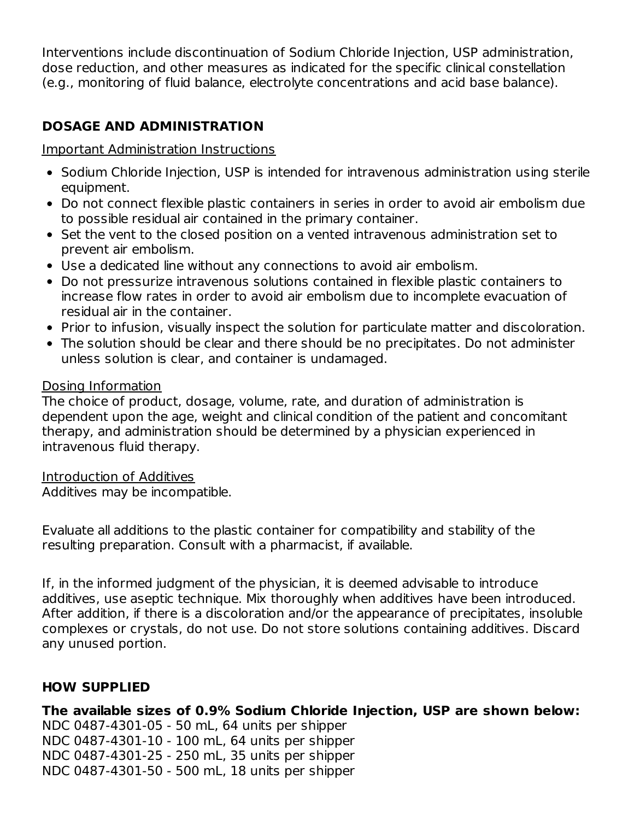Interventions include discontinuation of Sodium Chloride Injection, USP administration, dose reduction, and other measures as indicated for the specific clinical constellation (e.g., monitoring of fluid balance, electrolyte concentrations and acid base balance).

# **DOSAGE AND ADMINISTRATION**

#### Important Administration Instructions

- Sodium Chloride Injection, USP is intended for intravenous administration using sterile equipment.
- Do not connect flexible plastic containers in series in order to avoid air embolism due to possible residual air contained in the primary container.
- Set the vent to the closed position on a vented intravenous administration set to prevent air embolism.
- Use a dedicated line without any connections to avoid air embolism.
- Do not pressurize intravenous solutions contained in flexible plastic containers to increase flow rates in order to avoid air embolism due to incomplete evacuation of residual air in the container.
- Prior to infusion, visually inspect the solution for particulate matter and discoloration.
- The solution should be clear and there should be no precipitates. Do not administer unless solution is clear, and container is undamaged.

#### Dosing Information

The choice of product, dosage, volume, rate, and duration of administration is dependent upon the age, weight and clinical condition of the patient and concomitant therapy, and administration should be determined by a physician experienced in intravenous fluid therapy.

Introduction of Additives

Additives may be incompatible.

Evaluate all additions to the plastic container for compatibility and stability of the resulting preparation. Consult with a pharmacist, if available.

If, in the informed judgment of the physician, it is deemed advisable to introduce additives, use aseptic technique. Mix thoroughly when additives have been introduced. After addition, if there is a discoloration and/or the appearance of precipitates, insoluble complexes or crystals, do not use. Do not store solutions containing additives. Discard any unused portion.

### **HOW SUPPLIED**

**The available sizes of 0.9% Sodium Chloride Injection, USP are shown below:** NDC 0487-4301-05 - 50 mL, 64 units per shipper NDC 0487-4301-10 - 100 mL, 64 units per shipper NDC 0487-4301-25 - 250 mL, 35 units per shipper NDC 0487-4301-50 - 500 mL, 18 units per shipper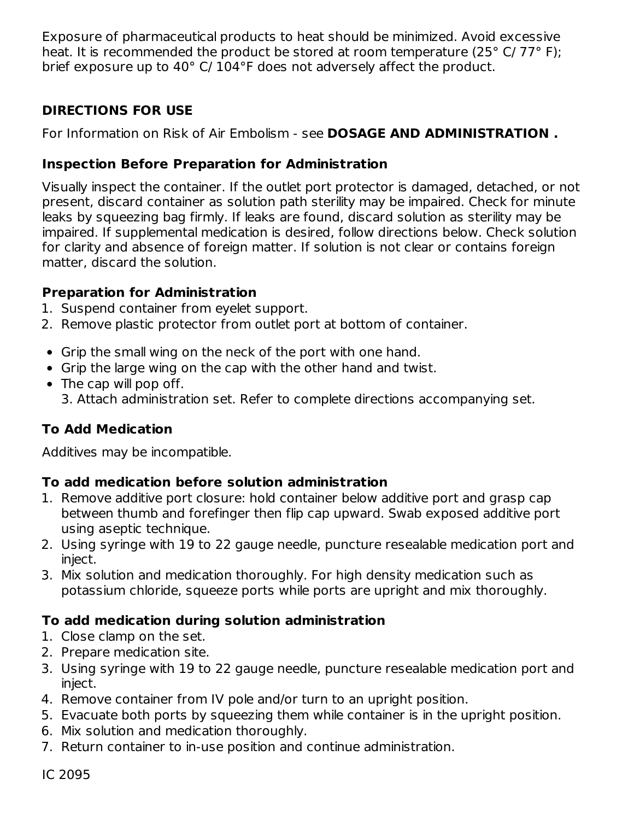Exposure of pharmaceutical products to heat should be minimized. Avoid excessive heat. It is recommended the product be stored at room temperature (25° C/ 77° F); brief exposure up to 40° C/ 104°F does not adversely affect the product.

## **DIRECTIONS FOR USE**

For Information on Risk of Air Embolism - see **DOSAGE AND ADMINISTRATION .**

## **Inspection Before Preparation for Administration**

Visually inspect the container. If the outlet port protector is damaged, detached, or not present, discard container as solution path sterility may be impaired. Check for minute leaks by squeezing bag firmly. If leaks are found, discard solution as sterility may be impaired. If supplemental medication is desired, follow directions below. Check solution for clarity and absence of foreign matter. If solution is not clear or contains foreign matter, discard the solution.

### **Preparation for Administration**

- 1. Suspend container from eyelet support.
- 2. Remove plastic protector from outlet port at bottom of container.
- Grip the small wing on the neck of the port with one hand.
- Grip the large wing on the cap with the other hand and twist.
- The cap will pop off. 3. Attach administration set. Refer to complete directions accompanying set.

# **To Add Medication**

Additives may be incompatible.

### **To add medication before solution administration**

- 1. Remove additive port closure: hold container below additive port and grasp cap between thumb and forefinger then flip cap upward. Swab exposed additive port using aseptic technique.
- 2. Using syringe with 19 to 22 gauge needle, puncture resealable medication port and inject.
- 3. Mix solution and medication thoroughly. For high density medication such as potassium chloride, squeeze ports while ports are upright and mix thoroughly.

# **To add medication during solution administration**

- 1. Close clamp on the set.
- 2. Prepare medication site.
- 3. Using syringe with 19 to 22 gauge needle, puncture resealable medication port and inject.
- 4. Remove container from IV pole and/or turn to an upright position.
- 5. Evacuate both ports by squeezing them while container is in the upright position.
- 6. Mix solution and medication thoroughly.
- 7. Return container to in-use position and continue administration.

IC 2095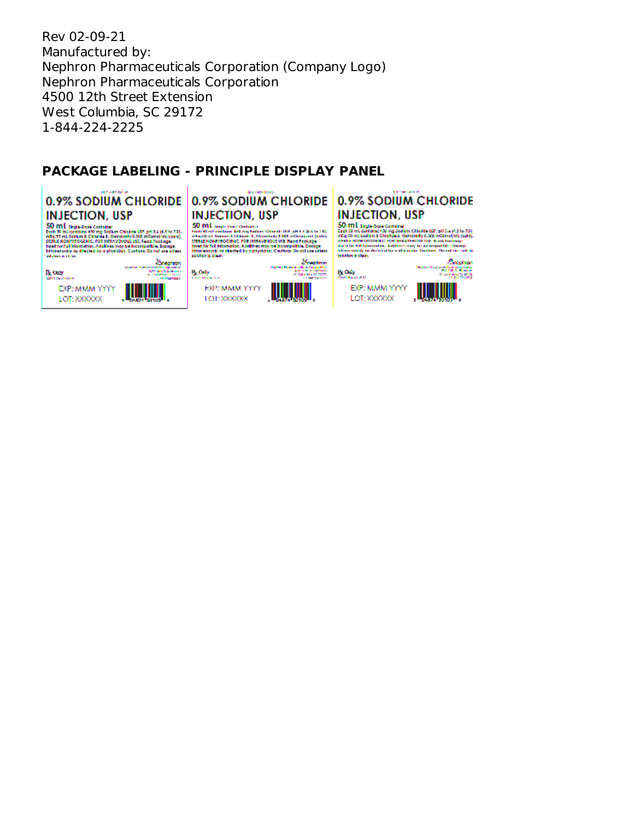Rev 02-09-21 Manufactured by: Nephron Pharmaceuticals Corporation (Company Logo) Nephron Pharmaceuticals Corporation 4500 12th Street Extension West Columbia, SC 29172 1-844-224-2225

#### **PACKAGE LABELING - PRINCIPLE DISPLAY PANEL**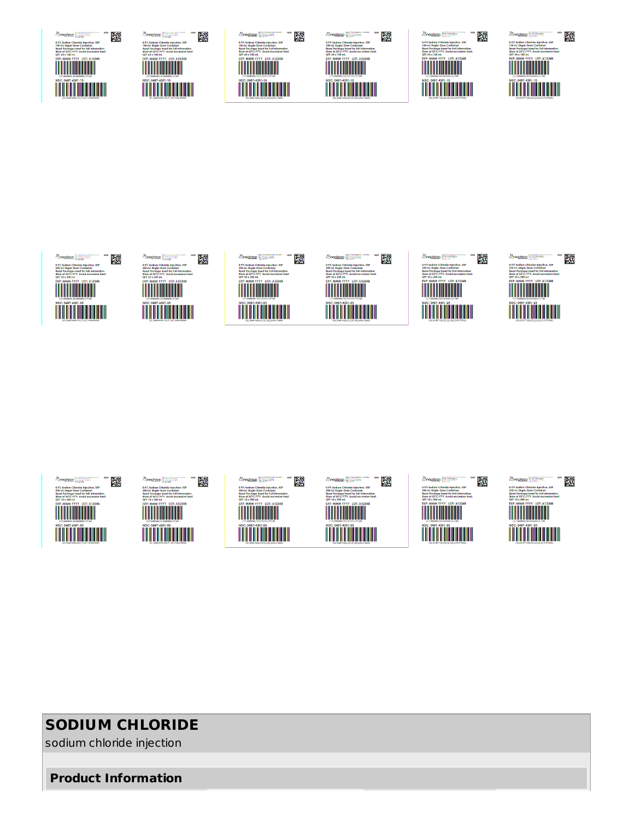# **SODIUM CHLORIDE**

sodium chloride injection

**Product Information**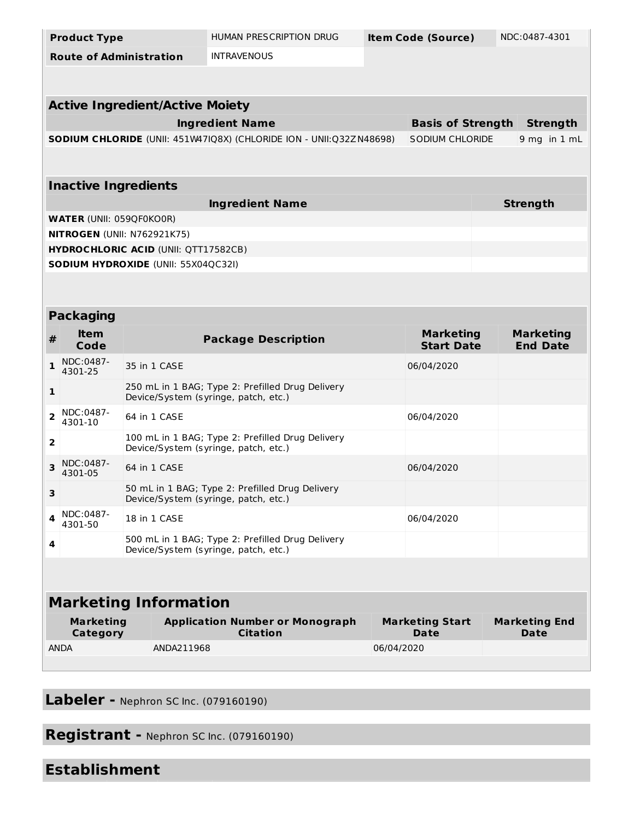|                                             | <b>Product Type</b>            |              | HUMAN PRESCRIPTION DRUG                                                                  |            | <b>Item Code (Source)</b>      |  | NDC:0487-4301                       |  |  |  |
|---------------------------------------------|--------------------------------|--------------|------------------------------------------------------------------------------------------|------------|--------------------------------|--|-------------------------------------|--|--|--|
|                                             | <b>Route of Administration</b> |              | <b>INTRAVENOUS</b>                                                                       |            |                                |  |                                     |  |  |  |
|                                             |                                |              |                                                                                          |            |                                |  |                                     |  |  |  |
|                                             |                                |              |                                                                                          |            |                                |  |                                     |  |  |  |
| <b>Active Ingredient/Active Moiety</b>      |                                |              |                                                                                          |            |                                |  |                                     |  |  |  |
|                                             |                                |              | <b>Ingredient Name</b>                                                                   |            | <b>Basis of Strength</b>       |  | <b>Strength</b>                     |  |  |  |
|                                             |                                |              | SODIUM CHLORIDE (UNII: 451W47IQ8X) (CHLORIDE ION - UNII:Q32ZN48698)                      |            | SODIUM CHLORIDE                |  | $9$ mg in $1$ mL                    |  |  |  |
|                                             |                                |              |                                                                                          |            |                                |  |                                     |  |  |  |
| <b>Inactive Ingredients</b>                 |                                |              |                                                                                          |            |                                |  |                                     |  |  |  |
|                                             |                                |              | <b>Ingredient Name</b>                                                                   |            |                                |  | <b>Strength</b>                     |  |  |  |
| <b>WATER (UNII: 059QF0KO0R)</b>             |                                |              |                                                                                          |            |                                |  |                                     |  |  |  |
| <b>NITROGEN (UNII: N762921K75)</b>          |                                |              |                                                                                          |            |                                |  |                                     |  |  |  |
| <b>HYDROCHLORIC ACID (UNII: QTT17582CB)</b> |                                |              |                                                                                          |            |                                |  |                                     |  |  |  |
| <b>SODIUM HYDROXIDE (UNII: 55X04QC32I)</b>  |                                |              |                                                                                          |            |                                |  |                                     |  |  |  |
|                                             |                                |              |                                                                                          |            |                                |  |                                     |  |  |  |
| <b>Packaging</b>                            |                                |              |                                                                                          |            |                                |  |                                     |  |  |  |
|                                             | ltem                           |              |                                                                                          |            | <b>Marketing</b>               |  | <b>Marketing</b>                    |  |  |  |
| #                                           | Code                           |              | <b>Package Description</b>                                                               |            | <b>Start Date</b>              |  | <b>End Date</b>                     |  |  |  |
| 1                                           | NDC:0487-<br>4301-25           | 35 in 1 CASE |                                                                                          |            | 06/04/2020                     |  |                                     |  |  |  |
| 1                                           |                                |              | 250 mL in 1 BAG; Type 2: Prefilled Drug Delivery<br>Device/System (syringe, patch, etc.) |            |                                |  |                                     |  |  |  |
| 2                                           | NDC:0487-<br>4301-10           | 64 in 1 CASE |                                                                                          |            | 06/04/2020                     |  |                                     |  |  |  |
| 2                                           |                                |              | 100 mL in 1 BAG; Type 2: Prefilled Drug Delivery<br>Device/System (syringe, patch, etc.) |            |                                |  |                                     |  |  |  |
| 3                                           | NDC:0487-<br>4301-05           | 64 in 1 CASE |                                                                                          |            | 06/04/2020                     |  |                                     |  |  |  |
| з                                           |                                |              | 50 mL in 1 BAG; Type 2: Prefilled Drug Delivery<br>Device/System (syringe, patch, etc.)  |            |                                |  |                                     |  |  |  |
| 4                                           | NDC:0487-<br>4301-50           | 18 in 1 CASE |                                                                                          |            | 06/04/2020                     |  |                                     |  |  |  |
| 4                                           |                                |              | 500 mL in 1 BAG; Type 2: Prefilled Drug Delivery<br>Device/System (syringe, patch, etc.) |            |                                |  |                                     |  |  |  |
|                                             |                                |              |                                                                                          |            |                                |  |                                     |  |  |  |
|                                             |                                |              |                                                                                          |            |                                |  |                                     |  |  |  |
| <b>Marketing Information</b>                |                                |              |                                                                                          |            |                                |  |                                     |  |  |  |
| <b>Marketing</b><br><b>Category</b>         |                                |              | <b>Application Number or Monograph</b><br><b>Citation</b>                                |            | <b>Marketing Start</b><br>Date |  | <b>Marketing End</b><br><b>Date</b> |  |  |  |
| <b>ANDA</b>                                 |                                | ANDA211968   |                                                                                          | 06/04/2020 |                                |  |                                     |  |  |  |
|                                             |                                |              |                                                                                          |            |                                |  |                                     |  |  |  |

**Labeler -** Nephron SC Inc. (079160190)

**Registrant -** Nephron SC Inc. (079160190)

# **Establishment**